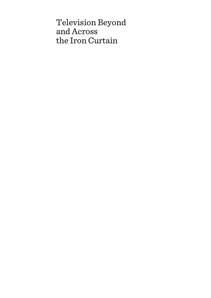# Television Beyond and Across the Iron Curtain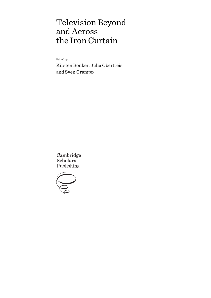# Television Beyond and Across the Iron Curtain

Edited by

Kirsten Bönker, Julia Obertreis and Sven Grampp

Cambridge **Scholars** Publishing

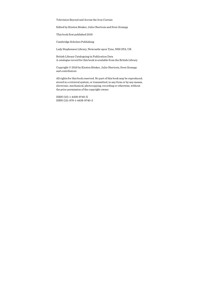Television Beyond and Across the Iron Curtain

Edited by Kirsten Bönker, Julia Obertreis and Sven Grampp

This book first published 2016

Cambridge Scholars Publishing

Lady Stephenson Library, Newcastle upon Tyne, NE6 2PA, UK

British Library Cataloguing in Publication Data A catalogue record for this book is available from the British Library

Copyright © 2016 by Kirsten Bönker, Julia Obertreis, Sven Grampp and contributors

All rights for this book reserved. No part of this book may be reproduced, stored in a retrieval system, or transmitted, in any form or by any means, electronic, mechanical, photocopying, recording or otherwise, without the prior permission of the copyright owner.

ISBN (10): 1-4438-9740-X ISBN (13): 978-1-4438-9740-2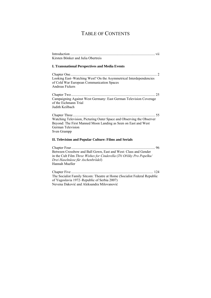# TABLE OF CONTENTS

| Kirsten Bönker and Julia Obertreis                                                                                                                                          |
|-----------------------------------------------------------------------------------------------------------------------------------------------------------------------------|
| <b>I. Transnational Perspectives and Media Events</b>                                                                                                                       |
| $\overline{2}$<br>Looking East-Watching West? On the Asymmetrical Interdependencies<br>of Cold War European Communication Spaces<br>Andreas Fickers                         |
| 25<br>Campaigning Against West Germany: East German Television Coverage<br>of the Eichmann Trial<br>Judith Keilbach                                                         |
| Watching Television, Picturing Outer Space and Observing the Observer<br>Beyond: The First Manned Moon Landing as Seen on East and West<br>German Television<br>Sven Grampp |
| II. Television and Popular Culture: Films and Serials                                                                                                                       |
| 96                                                                                                                                                                          |
| Between Crossbow and Ball Gown, East and West: Class and Gender                                                                                                             |

in the Cult Film *Three Wishes for Cinderella* (*Tři Oříšky Pro Popelku/ Drei Haselnüsse für Aschenbrödel*) Hannah Mueller

Chapter Five ............................................................................................ 124 The Socialist Family Sitcom: Theatre at Home (Socialist Federal Republic of Yugoslavia 1972–Republic of Serbia 2007) Nevena Daković and Aleksandra Milovanović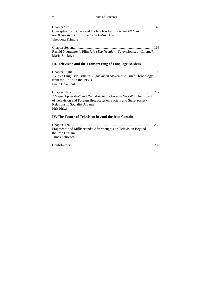vi Table of Contents

Chapter Six .............................................................................................. 148 Conceptualizing Class and the Nuclear Family when *All Men are Bastards*: Dmitrii Fiks' *The Balzac Age* Theodora Trimble

Chapter Seven .......................................................................................... 163 Rashid Nugmanov's Film *Igla* (*The Needle*): 'Televisionised' Cinema? Maria Zhukova

### **III. Television and the Transgressing of Language Borders**

Chapter Eight ........................................................................................... 196 TV as a Linguistic Issue in Yugoslavian Slovenia: A Brief Chronology from the 1960s to the 1980s Lucia Gaja Scuteri

Chapter Nine ............................................................................................ 227 "Magic Apparatus" and "Window to the Foreign World"? The Impact of Television and Foreign Broadcasts on Society and State-Society Relations in Socialist Albania Idrit Idrizi

### **IV. The Future of Television beyond the Iron Curtain**

Chapter Ten ............................................................................................. 258 Fragments and Milliseconds: Afterthoughts on Television Beyond the Iron Curtain James Schwoch

|--|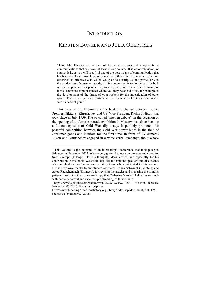# INTRODUCTION<sup>1</sup>

# KIRSTEN BÖNKER AND JULIA OBERTREIS

"This, Mr. Khrushchev, is one of the most advanced developments in communications that we have, at least in our country. It is color television, of course. It is, as you will see, […] one of the best means of communication that has been developed. And I can only say that if this competition which you have described so effectively, in which you plan to outstrip us, and particularly in the production of consumer goods, if this competition is to do the best for both of our peoples and for people everywhere, there must be a free exchange of ideas. There are some instances where you may be ahead of us, for example in the development of the thrust of your rockets for the investigation of outer space. There may be some instances, for example, color television, where we're ahead of you."<sup>2</sup>

This was at the beginning of a heated exchange between Soviet Premier Nikita S. Khrushchev and US Vice President Richard Nixon that took place in July 1959. The so-called "kitchen debate" on the occasion of the opening of an American trade exhibition in Moscow has since become a famous episode of Cold War diplomacy. It publicly promoted the peaceful competition between the Cold War power blocs in the field of consumer goods and interiors for the first time. In front of TV cameras Nixon and Khrushchev engaged in a witty verbal exchange about whose

 1 This volume is the outcome of an international conference that took place in Erlangen in December 2013. We are very grateful to our co-convener and co-editor Sven Grampp (Erlangen) for his thoughts, ideas, advice, and especially for his contribution to this book. We would also like to thank the speakers and discussants who enriched the conference and certainly those who contributed to this volume. Further, we owe thanks to our student assistants, Diana Schwindt (Bielefeld) and Jakob Rauschenbach (Erlangen), for revising the articles and preparing the printing pattern. Last but not least, we are happy that Catherine Marshall helped us so much with her very careful and excellent proofreading of this volume.

<sup>&</sup>lt;sup>2</sup> https://www.youtube.com/watch?v=z6RLCw1OZFw,  $0:20 - 1:32$  min., accessed November 03, 2015. For a transcript see

http://www.TeachingAmericanHistory.org/library/index.asp?documentprint=176, accessed November 03, 2015.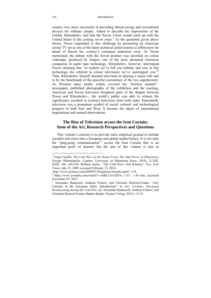country was more successful in providing labour-saving and recreational devices for ordinary people. Asked to describe his impressions of the exhibit, Khrushchev said that the Soviet Union would catch up with the United States in the coming seven years. $3$  As the quotation given above shows, Nixon responded to this challenge by presenting an American colour TV set as one of the latest technical achievements to affirm how far ahead of Russia his country's consumer industries were. As Nixon mentioned, the debate with the Soviet premier was recorded on colour videotape, produced by Ampex, one of the most advanced American companies in audio tape technology. Khrushchev, however, interrupted Nixon claiming that "in rockets we've left you behind, and also in this technology (he referred to colour television) we've outstripped you."4 Thus, Khrushchev himself deemed television as playing a major role and to be the benchmark of the peaceful coexistence of the two superpowers. As Western mass media widely covered the "kitchen summit"– newspapers published photographs of the exhibition and the meeting, American and Soviet television broadcast parts of the dispute between Nixon and Khrushchev–, the world's public was able to witness the significance ascribed to (colour) television from both sides. Henceforth, television was a prominent symbol of social, cultural, and technological progress in both East and West. It became the object of international negotiations and mutual observations.

## **The Rise of Television across the Iron Curtain: State of the Art, Research Perspectives and Questions**

This volume's concern is to provide more empirical ground to include socialist television into a European and global media history. It is not only the "ping-pong communication"<sup>5</sup> across the Iron Curtain that is an important point of interest, but the aim of this volume is also to

 3 Greg Castillo, *The Cold War on the Home Front. The Soft Power of Midcentury Design* (Minneapolis, London: University of Minnesota Press, 2010), X-XIII, XXII, 140, 160-169; William Safire, "The Cold War's Hot Kitchen," *New York Times*, July 23, 2009, accessed February 23, 2014,

http://www.nytimes.com/2009/07/24/opinion/24safire.html? $r=0$ .

 $4 \text{ https://www.voutube.com/watch?v=z6RLCw1OZFw, 1:33 - 1:45 min., accessed$ November 03, 2015.

<sup>&</sup>lt;sup>5</sup> Alexander Badenoch, Andreas Fickers, and Christian Henrich-Franke, "Airy Curtains in the European Ether: Introduction," in *Airy Curtains: European Broadcasting during the Cold War*, ed. Alexander Badenoch, Andreas Fickers, and Christian Henrich-Franke (Baden-Baden: Nomos-Verlag, 2013), 13-14.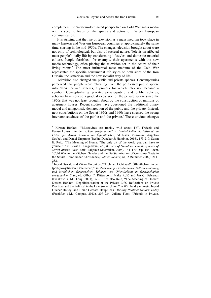complement the Western-dominated perspective on Cold War mass media with a specific focus on the spaces and actors of Eastern European communication.

It is striking that the rise of television as a mass medium took place in many Eastern and Western European countries at approximately the same time, starting in the mid-1950s. The changes television brought about were not only of technological, but also of societal nature. Television affected most people's daily life by transforming lifestyles and domestic material culture. People furnished, for example, their apartments with the new media technology, often placing the television set in the centre of their living rooms.<sup>6</sup> The most influential mass medium of the Cold War represented the specific consumerist life styles on both sides of the Iron Curtain–the American and the new socialist way of life.

Television also changed the public and private spheres. Contemporaries perceived that people were retreating from the politicised public sphere into 'their' private spheres, a process for which television became a symbol. Conceptualising private, private-public and public spheres, scholars have noticed a gradual expansion of the private sphere since the 1950s that was not least brought about by the construction of millions of apartment houses. Recent studies have questioned the traditional binary model and antagonistic demarcation of the public and the private. Instead, new contributions on the Soviet 1950s and 1960s have stressed the strong interconnectedness of the public and the private.<sup>7</sup> These obvious changes

<sup>6</sup> Kirsten Bönker, "'Muscovites are frankly wild about TV'. Freizeit und Fernsehkonsum in der späten Sowjetunion," in '*Entwickelter Sozialismus*' *in Osteuropa. Arbeit, Konsum und Öffentlichkeit*, ed. Nada Boškovska, Angelika Strobel, and Daniel Ursprung (Berlin: Duncker & Humblot, 2016), 173-210; Susan E. Reid, "The Meaning of Home: 'The only bit of the world you can have to yourself'," in Lewis H. Siegelbaum, ed., *Borders of Socialism. Private spheres of Soviet Russia* (New York: Palgrave Macmillan, 2006), 144–170, esp. 164; idem, "Cold War in the Kitchen: Gender and the De-Stalinization of Consumer Taste in the Soviet Union under Khrushchev," *Slavic Review*, 61, 2 (Summer 2002): 211– 252.

<sup>7</sup> Ingrid Oswald and Viktor Voronkov, "'Licht an, Licht aus!'. Öffentlichkeit in der (post-)sowjetischen Gesellschaft," in *Zwischen partei-staatlicher Selbstinszenierung und kirchlichen Gegenwelten. Sphären von Öffentlichkeit in Gesellschaften sowjetischen Typs*, ed. Gábor T. Rittersporn, Malte Rolf, and Jan C. Behrends (Frankfurt a. M.: Lang, 2003), 37-61. See also Reid, "The Meaning of Home"; Kirsten Bönker, "Depoliticalisation of the Private Life? Reflections on Private Practices and the Political in the Late Soviet Union," in Willibald Steinmetz, Ingrid Gilcher-Holtey, and Heinz-Gerhard Haupt, eds., *Writing Political History Today* (Frankfurt a.M.: Campus, 2013), 207–234; Juliane Fürst, "Friends in Private,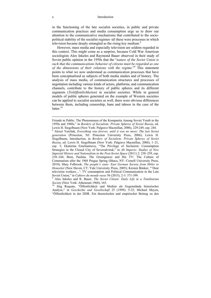#### x Introduction

in the functioning of the late socialist societies, in public and private communication practices and media consumption urge us to draw our attention to the communicative mechanisms that contributed to the sociopolitical stability of the socialist regimes–all these were processes in which television became deeply entangled as the rising key medium. $8$ 

However, mass media and especially television are seldom regarded in this context. This might come as a surprise, because Cold War American sociologists Alex Inkeles and Raymond Bauer observed in their study of Soviet public opinion in the 1950s that the "*nature of the Soviet Union is such that the communications behavior of citizens must be regarded as one of the dimensions of their relations with the regime.*" 9 This statement points to what we now understand as communication processes that have been conceptualised as subjects of both media studies and of history. The analysis of mass media, of communication structures and processes of negotiation including various kinds of actors, platforms, and communication channels, contribute to the history of public spheres and its different segments (*Teilöffentlichkeiten*) in socialist societies. While in general models of public spheres generated on the example of Western societies can be applied to socialist societies as well, there were obvious differences between them, including censorship, bans and taboos in the case of the latter $10$ 

Friends in Public: The Phenomenon of the Kompaniia Among Soviet Youth in the 1950s and 1960s," in *Borders of Socialism: Private Spheres of Soviet Russia*, ed. Lewis H. Siegelbaum (New York: Palgrave Macmillan, 2006), 229-249, esp. 244.

Alexei Yurchak, *Everything was forever, until it was no more: The last Soviet generation* (Princeton, NJ: Princeton University Press, 2006); Lewis H. Siegelbaum, Introduction, in *Borders of Socialism: Private Spheres of Soviet Russia*, ed. Lewis H. Siegelbaum (New York: Palgrave Macmillan, 2006), 1–21, esp. 3; Ekaterina Emeliantseva, "The Privilege of Seclusion: Consumption Strategies in the Closed City of Severodvinsk," in *Ab Imperio: Studies of New Imperial History and Nationalism in the Post-Soviet Space* (2011) 2: 238–259, esp. 238–244; Bren, Paulina. The Greengrocer and His TV: The Culture of Communism after the 1968 Prague Spring (Ithaca, NY: Cornell University Press, 2010); Mary Fulbrook, *The people's state: East German Society from Hitler to Honecker* (New Haven, CT: Yale University Press, 2005); Kirsten Bönker, "'Dear television workers…': TV consumption and Political Communication in the Late Soviet Union," in *Cahiers du monde russe* 56 (2015), 2-3: 371-399.

Alex Inkeles and R. Bauer, *The Soviet Citizen: Daily Life in a Totalitarian Society* (New York: Atheneum 1968), 165.<br><sup>10</sup> Jörg Requate, "Öffentlichkeit und Medien als Gegenstände historischer

Analyse," in *Geschichte und Gesellschaft* 25 (1999): 5-32; Michael Meyen, "Öffentlichkeit in der DDR. Ein theoretischer und empirischer Beitrag zu den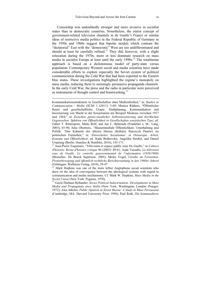Censorship was undoubtedly stronger and more invasive in socialist states than in democratic countries. Nonetheless, the etatist concept of government-related television channels in de Gaulle's France or similar ideas of restrictive media politics in the Federal Republic of Germany in the 1950s and 1960s suggest that bipolar models which contrast the "dictatorial" East with the "democratic" West are too undifferentiated and should at least be carefully refined.<sup>11</sup> They did, however, with a slight relaxation during the 1970s, more or less dominate research on mass media in socialist Europe at least until the early  $1990s$ <sup>12</sup>. The totalitarian approach is based on a dichotomous model of party-state versus population. Contemporary Western social and media scientists have made considerable efforts to explore especially the Soviet system of political communication during the Cold War that had been exported to the Eastern bloc states. These investigations highlighted the regime's monopoly on mass media, reducing them to seemingly persuasive propaganda channels. In the early Cold War, the press and the radio in particular were perceived as instruments of thought control and brainwashing.<sup>13</sup>

Kommunikationsstrukturen in Gesellschaften ohne Medienfreiheit," in: *Studies in Communication / Media (SCM)* 1 (2011): 3-69; Monica Rüthers, "Öffentlicher Raum und gesellschaftliche Utopie. Stadtplanung, Kommunikation und Inszenierung von Macht in der Sowjetunion am Beispiel Moskaus zwischen 1917 und 1964," in *Zwischen partei-staatlicher Selbstinszenierung und kirchlichen Gegenwelten. Sphären von Öffentlichkeit in Gesellschaften sowjetischen Typs*, ed. Gábor T. Rittersporn, Malte Rolf, and Jan C. Behrends (Frankfurt a. M.: Lang, 2003), 65-96; Julia Obertreis, *"*Massenmediale Öffentlichkeit, Unterhaltung und Politik: "Das Kabarett der älteren Herren (Kabaret Starszych Panów) im polnischen Fernsehen," in '*Entwickelter Sozialismus*' *in Osteuropa. Arbeit, Konsum und Öffentlichkeit*, ed. Nada Boškovska, Angelika Strobel, and Daniel Ursprung (Berlin: Duncker & Humblot, 2016), 143-171.<br><sup>11</sup> Jean-Pierre Esquenazi, "Télévision et espace public sous De Gaulle," in *Cahiers* 

 $\overline{a}$ 

*d'histoire. Revue d'histoire critique* 86 (2002): 49-61; Aude Vassallo, *La télévision*  sous de Gaulle. Le contrôle gouvernemental de l'information (1958/1969) (Bruxelles: De Boeck Supérieur, 2005); Meike Vogel, *Unruhe im Fernsehen. Protestbewegung und öffentlich-rechtliche Berichterstattung in den 1960er Jahren* (Göttingen: Wallstein Verlag, 2010), 39-47.

Mark Hopkins was one of the more leftist Anglophone social scientists who drew on the idea of convergence between the ideological systems with regard to communication and media mechanisms. Cf. Mark W. Hopkins, *Mass Media in the Soviet Union* (New York: Pegasus, 1970).<br><sup>13</sup> Gavle Durham Hollander, *Soviet Political Indoctrination: Developments in Mass* 

*Media and Propaganda since Stalin* (New York, Washington, London: Praeger, 1972); Alex Inkeles, *Public Opinion in Soviet Russia: A Study in Mass Persuasion* (Cambridge, MA: Harvard University Press 1950); Paul Roth, *Die kommandierte*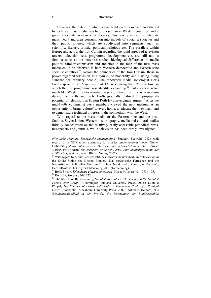#### xii Introduction

However, the extent to which social reality was conveyed and shaped by technical mass media was hardly less than in Western countries, and it grew in a similar way over the decades. This is why we need to integrate mass media and their consumption into models of Socialist societies and their public spheres, which are subdivided into segments, such as scientific, literary, artistic, political, religious etc. The parallels within Europe and across the Iron Curtain regarding the rapid spread of television towers, television sets, programme development etc. are still not as familiar to us as the better researched ideological differences in media politics. Similar enthusiasm and anxieties in the face of the new mass media could be observed in both Western democratic and Eastern state socialist countries.<sup>14</sup> Across the boundaries of the Iron Curtain, those in power regarded television as a symbol of modernity and a rising living standard for ordinary people. The renowned media sociologist Boris Firsov spoke of an 'e*xpansion'* of TV sets during the 1960s, a time in which the TV programme was steadily expanding.<sup>15</sup> Party leaders who– much like Western politicians–had kept a distance from the new medium during the 1950s and early 1960s gradually realised the propaganda potential of television, as Kristin Roth-Ey convincingly argues.<sup>16</sup> After the mid-1960s communist party members viewed the new medium as an opportunity to bring 'culture' to every home, to educate the 'new man' and to demonstrate technical progress in the competition with the West.

With regard to the mass media of the Eastern bloc and the post-Stalinist Soviet Union, Western historiography, media and cultural studies initially concentrated on the relatively easily accessible periodical press, newspapers and journals, while television has been rarely investigated.<sup>17</sup>

*öffentliche Meinung. Sowjetische Medienpolitik* (Stuttgart: Seewald 1982); with regard to the GDR rather exemplary for a strict sender-receiver model: Gunter Holzweißig, *Zensur ohne Zensor. Die SED-Informationsdiktatur* (Bonn: Bouvier Verlag, 1997); idem, *Die schärfste Waffe der Partei. Eine Mediengeschichte der DDR* (Köln, Weimar, Wien: Böhlau Verlag, 2002).<br><sup>14</sup> With regard to cultural-critical attitudes towards the new medium of television in

the Soviet Union see Kirsten Bönker, "Das sowjetische Fernsehen und die Neujustierung kultureller Grenzen," in Igor Narskij ed., *Kultur für das Volk*, Berlin/Boston: De Gruyter Oldenbourg, 2016 (forthcoming).<br><sup>15</sup> Boris Firsov, *Televidenie glazami sotsiologa* (Moscow: Iskusstvo, 1971), 105.

<sup>&</sup>lt;sup>16</sup> Roth-Ey, *Moscow*, 208–222.<br><sup>17</sup> Thomas C. Wolfe, *Governing Socialist Journalism: The Press and the Socialist* 

*Person after Stalin* (Bloomington: Indiana University Press, 2005); Ludmila Pöppel, *The Rhetoric of Pravda Editorials: A Diachronic Study of a Political Genre* (Stockholm: Stockholm University Press, 2007); Nikolaus Heidorn, *Das Westdeutschlandbild in der Pravda: die Darstellung der Bundesrepublik*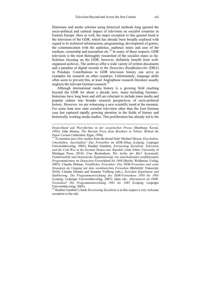Historians and media scholars using historical methods long ignored the socio-political and cultural impact of television on socialist countries in Eastern Europe. Here as well, the major exception to this general trend is the television of the GDR, which has already been broadly explored with regard to its technical infrastructure, programming, development of genres, the communication with the audience, audience tastes and uses of the medium, censorship and journalism etc.<sup>18</sup> In many of these respects, GDR television is the most thoroughly researched of the socialist states so far. Scholars focusing on the GDR, however, definitely benefit from wellorganised archives. The archives offer a wide variety of written documents and a paradise of digital records in the *Deutsches Rundfunkarchiv* (DRA) in Potsdam. Contributions to GDR television history can serve as examples for research on other countries. Unfortunately, language skills often seem to prevent this, at least Anglophone research literature usually neglects the relevant German research.<sup>19</sup>

Although international media history is a growing field reaching beyond the GDR for about a decade now, many–including German– historians have long been and still are reluctant to include mass media and popular culture into broader research perspectives of socio-political history. However, we are witnessing a new scientific trend at the moment. For some time now state socialist television other than the East German case has captured rapidly growing attention in the fields of history and historically working media studies. This proliferation has already led to the

*Deutschland und West-Berlins in der sowjetischen Presse* (Hamburg: Kovač, 1993); John Murray, *The Russian Press from Brezhnev to Yeltsin: Behind the Paper Curtain* (Aldershot: Elgar, 1994).<br><sup>18</sup> To mention just a few studies from the broad field: Michael Meyen, *Einschalten*,

*Umschalten, Ausschalten? Das Fernsehen im DDR-Alltag* (Leipzig: Leipziger Universitätsverlag, 2003); Heather Gumbert, *Envisioning Socialism: Television and the Cold War in the German Democratic Republic* (Ann Arbor: University of Michigan Press, 2014); Uwe Breitenborn, *Wie lachte der Bär? Systematik, Funktionalität und thematische Segmentierung von unterhaltenden nonfiktionalen Programmformen im Deutschen Fernsehfunk bis 1969* (Berlin: Weißensee Verlag, 2003); Claudia Dittmar, *Feindliches Fernsehen: Das DDR-Fernsehen und seine Strategien im Umgang mit dem westdeutschen Fernsehen* (Bielefeld: Transcript, 2010); Claudia Dittmar and Susanne Vollberg (eds.), *Zwischen Experiment und Etablierung. Die Programmentwicklung des DDR-Fernsehens 1958 bis 1963* (Leipzig: Leipziger Universitätsverlag, 2007); idem eds., *Alternativen im DDR-Fernsehen? Die Programmentwicklung 1981 bis 1985* (Leipzig: Leipziger Universitätsverlag, 2005).

<sup>&</sup>lt;sup>19</sup> Heather Gumbert's book *Envisioning Socialism* is in this respect a very welcome exception to the rule.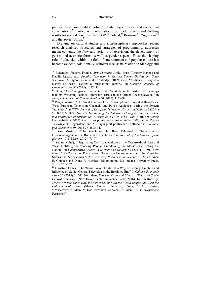publication of some edited volumes containing empirical and conceptual contributions.<sup>20</sup> Particular mention should be made of new and thrilling results for several countries: the CSSR, <sup>21</sup> Poland, <sup>22</sup> Romania, <sup>23</sup> Yugoslavia<sup>24</sup> and the Soviet Union  $25$ 

Drawing on cultural studies and interdisciplinary approaches, recent research analyses structures and strategies of programming, addresses media contents, the flow and seriality of television, the development of genres and aesthetic forms as well as gender aspects. Thus, the shaping role of television within the field of entertainment and popular culture has become evident. Additionally, scholars discuss its relation to ideology and

<sup>20</sup> Badenoch, Fickers, Franke, *Airy Curtains;* Aniko Imre, Timothy Havens and Katalin Lustyk eds., *Popular Television in Eastern Europe During and Since Socialism* (Abingdon, New York: Routledge, 2012); idem, "Audience history as a history of ideas: Towards a transnational history," in *European Journal of Communication* 30 (2015). 1: 22–35.

<sup>&</sup>lt;sup>21</sup> Bren, *The Greengrocer;* Irena Reifová, "A study in the history of meaningmaking: Watching socialist television serials in the former Czechoslovakia," in *European Journal of Communication* 30 (2015), 1: 79-94.<br><sup>22</sup> Patryk Wasiak, "The Great Époque of the Consumption of Imported Broadcasts:

West European Television Channels and Polish Audiences during the System Transition," in *VIEW Journal of European Television History and Culture* 3 (2014) 5: 68-68; Michael Zok, *Die Darstellung der Judenvernichtung in Film, Fernsehen und politischer Publizistik der Volksrepublik Polen 1968-1989* (Marburg: Verlag Herder-Institut, 2015); idem, "Das polnische Fernsehen in den 1980 Jahren. Polska Telewizja als Gegenstand und Austragungsort politischer Konflikte," in *Rundfunk und Geschichte* 39 (2013), 3-4: 25-34.<br><sup>23</sup> Dana Mustata, "The Revolution Has Been Televised...": Television as

Historical Agent in the Romanian Revolution," in *Journal of Modern European* 

<sup>&</sup>lt;sup>24</sup> Sabina Mihelj, "Negotiating Cold War Culture at the Crossroads of East and West: Uplifting the Working People, Entertaining the Masses, Cultivating the Nation," in *Comparative Studies in Society and History* 53 (2011), 3: 509–539; idem, "The Politics of Privatization: Television Entertainment and the Yugoslav Sixties," in *The Socialist Sixties: Crossing Borders in the Second World*, ed. Anne E. Gorsuch and Diane P. Koenker (Bloomington, IN: Indiana University Press, 2013), 251-267.

<sup>&</sup>lt;sup>25</sup> Christine Evans, "The 'Soviet Way of Life' as a Way of Feeling: Emotion and Influence on Soviet Central Television in the Brezhnev Era," in *Cahiers du monde russe* 56 (2015) 2: 543-569; idem, *Between Truth and Time: A History of Soviet Central Television* (New Haven: Yale University Press, 2016); Kristin Roth-Ey, *Moscow Prime Time: How the Soviet Union Built the Media Empire that Lost the Cultural Cold War* (Ithaca: Cornell University Press, 2011); Bönker, "'Muscovites'"; idem, "'Dear television workers...'"; idem., "Das sowjetische Fernsehen".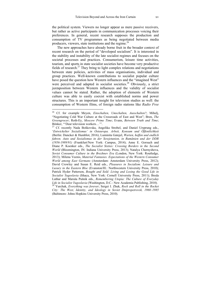the political system. Viewers no longer appear as mere passive receivers, but rather as active participants in communication processes voicing their preferences. In general, recent research supposes the production and consumption of TV programmes as being negotiated between media producers, viewers, state institutions and the regime.<sup>26</sup>

The new approaches have already borne fruit in the broader context of recent research on the period of "developed socialism". It is interested in the stability and instability of the late socialist regimes and focuses on the societal processes and practices. Consumerism, leisure time activities, tourism, and sports in state socialist societies have become very productive fields of research.<sup>27</sup> They bring to light complex relations and negotiations between state policies, activities of mass organisations, individual and group practices. Well-known contributions to socialist popular culture have posed the question how Western influences and the "imagined West" were perceived and adapted in socialist societies.<sup>28</sup> Obviously, a strict juxtaposition between Western influences and the validity of socialist values cannot be stated. Rather, the adoption of elements of Western culture was able to easily coexist with established norms and power structures. This is an important insight for television studies as well: the consumption of Western films, of foreign radio stations like *Radio Free* 

<sup>26</sup> Cf. for example Meyen, *Einschalten, Umschalten, Ausschalten?*; Mihelj, "Negotiating Cold War Culture at the Crossroads of East and West"; Bren, *The Greengrocer*; Roth-Ey, *Moscow Prime Time*; Evans, *Between Truth and Time*; Bönker, "'Dear television workers…'".

<sup>&</sup>lt;sup>27</sup> Cf. recently Nada Boškovska, Angelika Strobel, and Daniel Ursprung eds., '*Entwickelter Sozialismus' in Osteuropa. Arbeit, Konsum und Öffentlichkeit* (Berlin: Duncker & Humblot, 2016); Luminita Gatejel, *Warten, hoffen und endlich fahren. Auto und Sozialismus in der Sowjetunion, in Rumänien und der DDR (1956-1989/91)* (Frankfurt/New York: Campus, 2014); Anne E. Gorsuch and Diane P. Koenker eds., *The Socialist Sixties: Crossing Borders in the Second World* (Bloomington, IN: Indiana University Press, 2013); Natalya Chernyshova, *Soviet Consumer Culture in the Brezhnev Era* (London, New York: Routledge, 2013); Milena Veenis, *Material Fantasies. Expectations of the Western Consumer World among East Germans* (Amsterdam: Amsterdam University Press, 2012); David Crowley and Susan E. Reid eds., *Pleasures in Socialism: Leisure and Luxury in the Eastern Bloc* (Evanston/Ill.: Northwestern University Press, 2010); Patrick Hyder Patterson, *Bought and Sold: Living and Losing the Good Life in Socialist Yugoslavia* (Ithaca, New York: Cornell University Press, 2011); Breda Luthar and Maruša Pušnik eds., *Remembering Utopia: The Culture of Everyday Life in Socialist Yugoslavia* (Washington, D.C.: New Academia Publishing, 2010). 28 Yurchak, *Everything was forever*; Sergei I. Zhuk, *Rock and Roll in the Rocket* 

*City: The West, Identity, and Ideology in Soviet Dnipropetrovsk, 1960–1985* (Baltimore: Johns Hopkins University Press, 2010).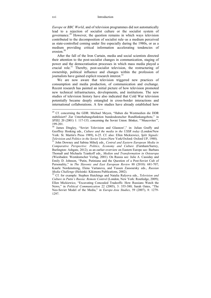#### xvi Introduction

*Europe* or *BBC World*, and of television programmes did not automatically lead to a rejection of socialist culture or the socialist system of governance.<sup>29</sup> However, the question remains in which ways television contributed to the decomposition of socialist rule–as a medium perceived as state-controlled coming under fire especially during the 1980s, or as a medium providing critical information accelerating tendencies of erosion.<sup>30</sup>

After the fall of the Iron Curtain, media and social scientists directed their attention to the post-socialist changes in communication, staging of power and the democratisation processes in which mass media played a crucial role.<sup>31</sup> Thereby, post-socialist television, the restructuring of ownership, political influence and changes within the profession of journalists have gained explicit research interest.<sup>32</sup>

We are now aware that television triggered new practices of consumption and media production, of communication and exchange. Recent research has painted an initial picture of how television promoted new technical infrastructures, developments, and institutions. The new studies of television history have also indicated that Cold War television potentially became deeply entangled in cross-border interactions and international collaborations. A few studies have already established how

<sup>&</sup>lt;sup>29</sup> Cf. concerning the GDR: Michael Meyen, "Haben die Westmedien die DDR stabilisiert? Zur Unterhaltungsfunktion bundesdeutscher Rundfunkangebote," in *SPIEL* 20 (2001) 1: 117-133; concerning the Soviet Union: Bönker, "'Muscovites"', 199-201.

<sup>&</sup>lt;sup>30</sup> James Dingley, "Soviet Television and Glasnost'," in: Julian Graffy and Geoffrey Hosking eds., *Culture and the media in the USSR today* (London/New York: St. Martin's Press 1989), 6-25. Cf. also: Ellen Mickiewicz, *Split Signals:* 

*Television and Politics in the Soviet Union* (New York/Oxford: Oxford UP, 1988). 31 John Downey and Sabina Mihelj eds., *Central and Eastern European Media in Comparative Perspective: Politics, Economy and Culture* (Farnham/Surrey, Burlington: Ashgate, 2012); as an earlier overview on Eastern Europe see: Barbara Thomaß and Michaela Tzankoff eds., *Medien und Transformation in Osteuropa* (Wiesbaden: Westdeutscher Verlag, 2001). On Russia see: Julie A. Cassiday and Emily D. Johnson, "Putin, Putiniana and the Question of a Post-Soviet Cult of Personality," in *The Slavonic and East European Review* 88 (2010): 681-707; Kaarle Nordenstreng, Elena Vartanova, and Yassen Zassoursky eds., *Russian* 

<sup>&</sup>lt;sup>32</sup> Cf. for example: Stephen Hutchings and Natalia Rulyova eds., *Television and Culture in Putin's Russia: Remote Control* (London, New York: Routledge, 2009); Ellen Mickiewicz, "Excavating Concealed Tradeoffs: How Russians Watch the News," in *Political Communication* 22 (2005), 3: 355-380; Sarah Oates, "The Neo-Soviet Model of the Media," in *Europe-Asia Studies*, 59 (2007), 8: 1279- 1297.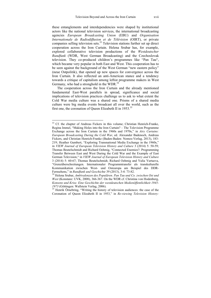these entanglements and interdependencies were shaped by institutional actors like the national television services, the international broadcasting agencies *European Broadcasting Union* (EBU) and *Organisation Internationale de Radiodiffusion et de Télévision* (OIRT), or private companies selling television sets.<sup>33</sup> Television stations further set up direct cooperation across the Iron Curtain. Helena Srubar has, for example, explored collaborative television productions of the *Westdeutscher Rundfunk* (WDR, West German Broadcasting) and the Czechoslovak television. They co-produced children's programmes like "Pan Tau", which became very popular in both East and West. This cooperation has to be seen against the background of the West German "new eastern policy" (neue Ostpolitik), that opened up new spaces for convergence across the Iron Curtain. It also reflected an anti-American stance and a tendency towards a critique of capitalism among leftist programme makers in West Germany, who had a stronghold in the WDR.<sup>34</sup>

The cooperation across the Iron Curtain and the already mentioned fundamental East-West parallels in spread, significance and social implications of television practices challenge us to ask to what extent the Cold War media culture was a shared one. Prisms of a shared media culture were big media events broadcast all over the world, such as the first one, the coronation of Oueen Elizabeth II in 1953.<sup>35</sup>

<sup>&</sup>lt;sup>33</sup> Cf. the chapter of Andreas Fickers in this volume; Christian Henrich-Franke, Regina Immel, "Making Holes into the Iron Curtain? – The Television Programme Exchange across the Iron Curtain in the 1960s and 1970s," in *Airy Curtains: European Broadcasting During the Cold War*, ed. Alexander Badenoch, Andreas Fickers, and Christian Henrich-Franke (Baden-Baden: Nomos-Verlag, 2013), 183- 219; Heather Gumbert, "Exploring Transnational Media Exchange in the 1960s," in *VIEW Journal of European Television History and Culture* 3 (2014) 5: 50-59; Thomas Beutelschmidt and Richard Oehmig, "Connected Enemies?: Programming Transfer Between East and West During the Cold War and the Example of East German Television," in *VIEW Journal of European Television History and Culture* 3 (2014) 5: 60-67; Thomas Beutelschmidt, Richard Oehmig and Yulia Yurtaeva, "Grenzüberschreitungen. Internationaler Programmtransfer als transkulturelle Kommunikation zwischen West- und Osteuropa am Beispiel des DDR-<br>Fernsehens," in Rundfunk und Geschichte 39 (2013), 3-4: 73-82.

<sup>&</sup>lt;sup>34</sup> Helena Srubar, *Ambivalenzen des Populären. Pan Tau und Co. zwischen Ost und West* (Konstanz: UVK, 2008), 366-367. On the WDR cf. Christina von Hodenberg, *Konsens und Krise. Eine Geschichte der westdeutschen Medienöffentlichkeit 1945- <sup>1973</sup>* (Göttingen: Wallstein Verlag, 2006). 35 Henrik Örnebring, "Writing the history of television audiences: the case of the

Coronation of Queen Elizabeth II in 1953," in *Re-viewing Television History:*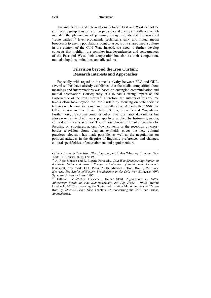The interactions and interrelations between East and West cannot be sufficiently grasped in terms of propaganda and enemy surveillance, which included the phenomena of jamming foreign signals and the so-called "radio battles"<sup>36</sup> Even propaganda, technical rivalry, and mutual media broadcasts to enemy populations point to aspects of a shared media culture in the context of the Cold War. Instead, we need to further develop concepts that highlight the complex interdependencies and convergences of the East and West, their cooperation but also as their competition, mutual adoptions, imitations, and alienations.

## **Television beyond the Iron Curtain: Research Interests and Approaches**

Especially with regard to the media rivalry between FRG and GDR, several studies have already established that the media competition about meanings and interpretations was based on entangled communication and mutual observation. Consequently, it also had a strong impact on the Eastern side of the Iron Curtain.<sup>37</sup> Therefore, the authors of this volume take a close look beyond the Iron Curtain by focusing on state socialist television. The contributions thus explicitly cover Albania, the CSSR, the GDR, Russia and the Soviet Union, Serbia, Slovenia and Yugoslavia. Furthermore, the volume compiles not only various national examples, but also presents interdisciplinary perspectives applied by historians, media, cultural and literary scholars. The authors choose different approaches by focusing on structures, actors, flow, contents or the reception of crossborder television. Some chapters explicitly cover the new cultural practices television has made possible, as well as the negotiations on political attitudes in the disguise of linguistic preferences and changes, cultural specificities, of entertainment and popular culture.

*Critical Issues in Television Historiography*, ed. Helen Wheatley (London, New York: I.B. Tauris, 2007), 170-190.

<sup>36</sup> A. Ross Johnson and R. Eugene Parta eds., *Cold War Broadcasting: Impact on the Soviet Union and Eastern Europe: A Collection of Studies and Documents* (Budapest, New York: CEU Press, 2010); Michael Nelson, *War of the Black Heavens: The Battles of Western Broadcasting in the Cold War* (Syracuse, NW: Syracuse University Press, 1997).

<sup>37</sup> Dittmar, *Feindliches Fernsehen*; Heiner Stahl, *Jugendradio im kalten Ätherkrieg: Berlin als eine Klanglandschaft des Pop (1962 - 1973)* (Berlin: Landbeck, 2010); concerning the Soviet radio station Maiak and Soviet TV see Roth-Ey, *Moscow Prime Time*, chapters 3-5; concerning the CSSR see Srubar, *Ambivalenzen*.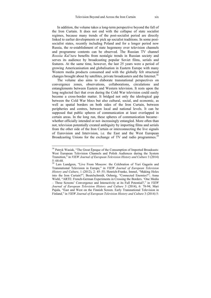In addition, the volume takes a long-term perspective beyond the fall of the Iron Curtain. It does not end with the collapse of state socialist regimes, because many trends of the post-socialist period are directly linked to earlier developments or pick up socialist traditions. In some postsocialist states, recently including Poland and for a longer period now Russia, the re‐establishment of state hegemony over television channels and programme contents can be observed. The Russian TV channel *Rossiia Kul'tura* benefits from nostalgic trends in Russian society and serves its audience by broadcasting popular Soviet films, serials and features. At the same time, however, the last 25 years were a period of growing Americanisation and globalisation in Eastern Europe with many Western media products consumed and with the globally felt structural changes brought about by satellites, private broadcasters and the Internet.<sup>38</sup>

The volume also aims to elaborate transnational perspectives on convergence zones, observations, collaborations, circulations and entanglements between Eastern and Western television. It rests upon the long neglected fact that even during the Cold War television could easily become a cross-border matter. It bridged not only the ideological gap between the Cold War blocs but also cultural, social, and economic, as well as spatial borders on both sides of the Iron Curtain, between peripheries and centres, between local and national levels. It can be supposed that public spheres of communication at least overlapped in certain areas. In the long run, these spheres of communication became– whether officially intended or not–increasingly entangled. More often than not, television potentially created ambiguity by importing films and serials from the other side of the Iron Curtain or interconnecting the live signals of Eurovision and Intervision, i.e. the East and the West European Broadcasting Unions for the exchange of TV and radio programmes.<sup>39</sup>

<sup>&</sup>lt;sup>38</sup> Patryk Wasiak, "The Great Époque of the Consumption of Imported Broadcasts: West European Television Channels and Polish Audiences during the System Transition," in *VIEW Journal of European Television History and Culture* 3 (2014) 5: 68-68.

<sup>&</sup>lt;sup>39</sup> Lars Lundgren, "Live From Moscow: the Celebration of Yuri Gagarin and Transnational Television in Europe," in *VIEW Journal of European Television History and Culture*, 1 (2012), 2: 45–55; Henrich-Franke, Immel, "Making Holes into the Iron Curtain?"; Beutelschmidt, Oehmig, "Connected Enemies?"; Anna Wiehl, "ARTE: French-German Experiments in Crossing the Borders. 'One Media – Three Screens' Convergence and Interactivity at its Full Potential?," in *VIEW Journal of European Television History and Culture* 3 (2014), 6: 78-94; Mari Pajala, "East and West on the Finnish Screen. Early Transnational Television in Finland," in *VIEW Journal of European Television History and Culture* 3 (2014) 5: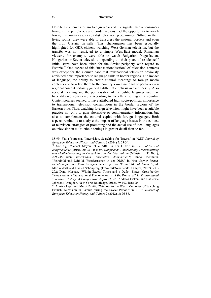Despite the attempts to jam foreign radio and TV signals, media consumers living in the peripheries and border regions had the opportunity to watch foreign, in many cases capitalist television programmes. Sitting in their living rooms, they were able to transgress the national borders and even the Iron Curtain virtually. This phenomenon has been especially highlighted for GDR citizens watching West German television, but the transfer was not restricted to a simple West-East model. Romanian viewers, for example, were able to watch Bulgarian, Yugoslavian, Hungarian or Soviet television, depending on their place of residence.<sup>40</sup> Initial steps have been taken for the Soviet periphery with regard to Estonia.<sup>41</sup> One aspect of this 'transnationalisation' of television contents was–except for the German case–that transnational television obviously attributed new importance to language skills in border regions. The impact of language, the ability to create cultural meanings to foreign media contents and to relate them to the country's own national or perhaps even regional context certainly gained a different emphasis in each society. Also societal meaning and the politicisation of the public language use may have differed considerably according to the ethnic setting of a country. Contemporaries seemed to have attributed high socio-political importance to transnational television consumption in the border regions of the Eastern bloc. Thus, watching foreign television might have been a suitable practice not only to gain alternative or complementary information, but also to complement the cultural capital with foreign languages. Both aspects remind us to analyse the impact of language issues in the context of television, strategies of promoting and the actual use of local languages on television in multi-ethnic settings in greater detail than so far.

<sup>88-99;</sup> Yulia Yurtaeva, "Intervision. Searching for Traces," in *VIEW Journal of European Television History and Culture* 3 (2014) 5: 23-34. 40 See e.g. Michael Meyen, "Die ARD in der DDR," in *Aus Politik und* 

*Zeitgeschichte* (2010), 20: 28-34; idem, *Hauptsache Unterhaltung. Mediennutzung und Medienbewertung in Deutschland in den 50er Jahren* (Münster: LIT, 2001), 229-245; idem, *Einschalten, Umschalten, Ausschalten?*; Hanno Hochmuth, "Feindbild und Leitbild. Westfernsehen in der DDR," in *Vom Gegner lernen. Feindschaften und Kulturtransfers im Europa des 19. und 20. Jahrhunderts*, ed. Martin Aust and Daniel Schönpflug (Frankfurt/New York: Campus, 2007), 271- 292; Dana Mustata, "Within Excess Times and a Deficit Space: Cross-border Television as a Transnational Phenomenon in 1980s Romania," in *Transnational Television History: A Comparative Approach*, ed. Andreas Fickers and Catherine Johnson (Abingdon, New York: Routledge, 2012), 89-102, here 90.

<sup>&</sup>lt;sup>41</sup> Annika Lepp and Mervi Pantti, "Window to the West: Memories of Watching Finnish Television in Estonia during the Soviet Period," in *VIEW Journal of European Television History and Culture* 2 (2012), 3: 76-86.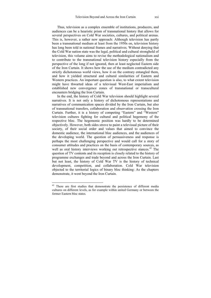Thus, television as a complex ensemble of institutions, producers, and audiences can be a heuristic prism of transnational history that allows for several perspectives on Cold War societies, cultures, and political arenas. This is, however, a rather new approach: Although television has partly been a transnational medium at least from the 1950s on, television history has long been told in national frames and narratives. Without denying that the Cold War nation state was the legal, political and cultural stronghold of television, this volume aims to revise the methodological nationalism and to contribute to the transnational television history especially from the perspective of the long if not ignored, then at least neglected Eastern side of the Iron Curtain. It shows how the use of the medium contradicted any strictly dichotomous world views, how it on the contrary entangled them, and how it yielded structural and cultural similarities of Eastern and Western practices. An important question is also, to what extent television might have thwarted ideas of a televisual West-East imperialism and established new convergence zones of transnational or transcultural encounters bridging the Iron Curtain.

In the end, the history of Cold War television should highlight several narratives. It is not only a history of dichotomous representations and narratives of communication spaces divided by the Iron Curtain, but also of transnational transfers, collaboration and observation crossing the Iron Curtain. Further, it is a history of competing "Eastern" and "Western" television cultures fighting for cultural and political hegemony of the respective bloc. The hegemonic position was hardly to be determined objectively. However, both sides strove to paint a televisual picture of their society, of their social order and values that aimed to convince the domestic audience, the international bloc audiences, and the audiences of the developing world. The question of persuasiveness and response is perhaps the most challenging perspective and would call for a story of consumer attitudes and practices on the basis of contemporary sources, as well as oral history interviews working out retrospective stances.<sup>42</sup> The question of TV contents and its reception is closely related to the history of programme exchanges and trade beyond and across the Iron Curtain. Last but not least, the history of Cold War TV is the history of technical development, competition, and collaboration. Cold War television objected to the territorial logics of binary bloc thinking: As the chapters demonstrate, it went beyond the Iron Curtain.

 $42$  There are first studies that demonstrate the persistence of different media cultures on different levels, as for example within united Germany or between the former Eastern bloc states.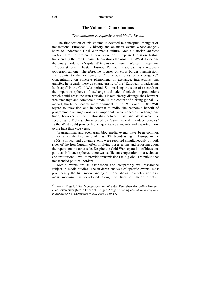## **The Volume's Contributions**

#### *Transnational Perspectives and Media Events*

The first section of this volume is devoted to conceptual thoughts on transnational European TV history and on media events whose analysis helps to understand Cold War media culture. Media historian *Andreas Fickers* aims to present a new view on European television history transcending the Iron Curtain. He questions the usual East-West divide and the binary model of a 'capitalist' television culture in Western Europe and a 'socialist' one in Eastern Europe. Rather, his approach is a regionaltopographical one. Therefore, he focuses on cross border-transmissions and points to the existence of "numerous zones of convergence". Concentrating on concrete phenomena of exchange, interactions, and transfer, he regards these as characteristic of the "European broadcasting landscape" in the Cold War period. Summarising the state of research on the important spheres of exchange and sale of television productions which could cross the Iron Curtain, Fickers clearly distinguishes between free exchange and commercial trade. In the context of a rising global TV market, the latter became more dominant in the 1970s and 1980s. With regard to television and in contrast to radio, the economic benefit of programme exchanges was very important. What concerns exchange and trade, however, is the relationship between East and West which is, according to Fickers, characterised by "asymmetrical interdependencies" as the West could provide higher qualitative standards and exported more to the East than vice versa.

Transnational and even trans-bloc media events have been common almost since the beginning of mass TV broadcasting in Europe in the 1950s. Political and cultural events were reported simultaneously on both sides of the Iron Curtain, often implying observations and reporting about the reports on the other side. Despite the Cold War separation of blocs and political influence spheres, there was sufficient cooperation on a technical and institutional level to provide transmissions to a global TV public that transcended political borders.

Media events are an established and comparably well-researched subject in media studies. The in-depth analysis of specific events, most prominently the first moon landing of 1969, shows how television as a mass medium has developed along the lines of major events.<sup>43</sup>

<sup>&</sup>lt;sup>43</sup> Lorenz Engell, "Das Mondprogramm. Wie das Fernsehen das größte Ereignis aller Zeiten erzeugte," in Friedrich Lenger, Ansgar Nünning eds, *Medienereignisse in der Moderne* (Darmstadt: WBG, 2008), 150-172.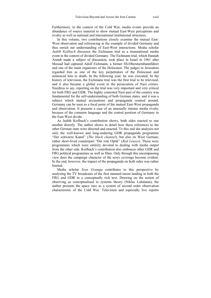Furthermore, in the context of the Cold War, media events provide an abundance of source material to show mutual East-West perceptions and rivalry as well as national and international institutional structures.

In this volume, two contributions closely examine the mutual East-West observation and referencing in the example of divided Germany and thus enrich our understanding of East-West interactions. Media scholar *Judith Keilbach* discusses the Eichmann trial as a transnational media event in the context of divided Germany. The Eichmann trial, which Hannah Arendt made a subject of discussion, took place in Israel in 1961 after Mossad had captured Adolf Eichmann, a former SS-Obersturmbannführer and one of the main organisers of the Holocaust. The judges in Jerusalem regarded him as one of the key perpetrators of the Holocaust and sentenced him to death. In the following year, he was executed. In the history of television, the Eichmann trial was the first trial to be televised, and it also became a global event in the persecution of Nazi crimes. Needless to say, reporting on the trial was very important and very critical for both FRG and GDR. The highly contested Nazi past of the country was fundamental for the self-understanding of both German states, and it was a subject which mutual accusations and propaganda centred around. Germany can be seen as a focal point of the mutual East-West propaganda and observation. It presents a case of an unusually intense media rivalry because of the common language and the central position of Germany in the East-West divide.

As Judith Keilbach's contribution shows, both sides reacted to one another directly. The author shows in detail how these references to the other German state were directed and enacted. To this end she analyses not only the well-known and long-enduring GDR propaganda programme "Der schwarze Kanal" (*The black channel*), but also its West German, rather short-lived counterpart "Die rote Optik" (*Red Lenses*). These were programmes which were entirely devoted to dealing with media output from the other side. Keilbach's contribution also embraces other GDR and FRG political programmes as well as films. Only through this encompassing view does the campaign character of the news coverage become evident. In the end, however, the impact of the propaganda on both sides was rather limited.

Media scholar *Sven Grampp* contributes to this perspective by analysing the TV broadcasts of the first manned moon landing in both the FRG and GDR in a conceptually rich text. Drawing on the notion of observing as conceptualised in systems theory (Niklas Luhmann), the author presents the space race as a system of second order observation characteristic of the Cold War. Television and especially live reports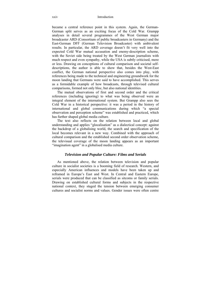#### xxiv Introduction

became a central reference point in this system. Again, the German-German split serves as an exciting focus of the Cold War. Grampp analyses in detail several programmes of the West German major broadcaster ARD (Consortium of public broadcasters in Germany) and the East-German DFF (German Television Broadcaster) with ambivalent results. In particular, the ARD coverage doesn't fit very well into the expected Cold War mutual accusation and enemy-description scheme, with the Soviet side being treated by the West German journalists with much respect and even sympathy, while the USA is subtly criticised, more or less. Drawing on conceptions of cultural comparison and societal selfdescriptions, the author is able to show that, besides the West-East conflict, the German national perspective also comes into play, with references being made to the technical and engineering groundwork for the moon landing that Germans were said to have accomplished. This serves as a formidable example of how broadcasts, through televised cultural comparisons, formed not only bloc, but also national identities.

The mutual observations of first and second order and the critical references (including ignoring) to what was being observed were an integral element of the international system. But Grampp also sees the Cold War in a historical perspective: it was a period in the history of international and global communications during which "a special observation and perception scheme" was established and practiced, which has further shaped global media culture.

The text also reflects on the relation between local and global understanding and applies "glocalisation" as a dialectical concept: against the backdrop of a globalising world, the search and specification of the local becomes relevant in a new way. Combined with the approach of cultural comparison and the established second order observation scheme, the televisual coverage of the moon landing appears as an important "imagination agent" in a globalised media culture.

#### *Television and Popular Culture: Films and Serials*

As mentioned above, the relation between television and popular culture in socialist societies is a booming field of research. Western, and especially American influences and models have been taken up and reframed in Europe's East and West. In Central and Eastern Europe, serials were produced that can be classified as sitcoms or family serials. Drawing on established cultural forms and subjects in the respective national context, they staged the tension between emerging consumer cultures and socialist norms and values. Gender issues were often centre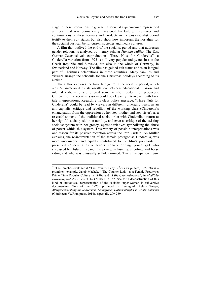stage in these productions, e.g. when a socialist super-woman represented an ideal that was permanently threatened by failure.<sup>44</sup> Remakes and continuations of these formats and products in the post-socialist period testify to their cult status, but also show how important the nostalgia for the socialist past can be for current societies and media cultures.

A film that outlived the end of the socialist period and that addresses gender relations is analysed by literary scholar *Hannah Müller*. The East German-Czechoslovak coproduction "Three Nuts for Cinderella", a Cinderella variation from 1973 is still very popular today, not just in the Czech Republic and Slovakia, but also in the whole of Germany, in Switzerland and Norway. The film has gained cult status and is an integral part of Christmas celebrations in these countries. Many families and viewers arrange the schedule for the Christmas holidays according to its airtime.

The author explores the fairy tale genre in the socialist period, which was "characterised by its oscillation between educational mission and internal criticism", and offered some artistic freedom for producers. Criticism of the socialist system could be elegantly interwoven with fairy tale interpretations. Regarding its class policy message, "Three Nuts for Cinderella" could be read by viewers in different, diverging ways: as an anti-capitalist critique and rebellion of the working class (Cinderella's emancipation from the oppression by her step-mother and step-sister), as a re-establishment of the traditional social order with Cinderella's return to her rightful social position in nobility, and even as critique of the existing socialist system with her greedy, egoistic relatives symbolising the abuse of power within this system. This variety of possible interpretations was one reason for its positive reception across the Iron Curtain. As Müller explains, the re-interpretation of the female protagonist, Cinderella, was more unequivocal and equally contributed to the film's popularity. It presented Cinderella as a gender non-conforming young girl who surpassed her future husband, the prince, in hunting, shooting, and horse riding and who was unusually self-determined. This emancipation figure

<sup>&</sup>lt;sup>44</sup> The Czechoslovak serial "The Counter Lady" (Žena za pultem, 1977/78) is a prominent example. Jakub Machek, "'The Counter Lady' as a Female Prototype: Prime Time Popular Culture in 1970s and 1980s Czechoslovakia", in *Medijska istraživanja/Media research* 16 (2010) 1, 31-52. See for a deconstruction of this kind of audiovisual representation of the socialist super-woman in subversive documentary films of the 1970s produced in Leningrad: Aglaia Wespe, *Alltagsbeobachtung als Subversion. Leningrader Dokumentarfilm im Spätsozialismus* (Göttingen: V&R unipress, 2014), especially 209-239.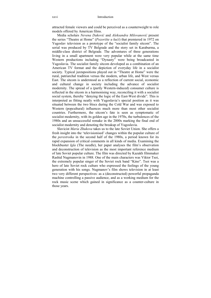attracted female viewers and could be perceived as a counterweight to role models offered by American films.

Media scholars *Nevena Daković* and *Aleksandra Milovanović* present the series "Theatre at Home" (*Pozorište u kući*) that premiered in 1972 on Yugoslav television as a prototype of the "socialist family sitcom". The serial was produced by TV Belgrade and the story set in Karaburma, a middle-class district of Belgrade. The adventures of three generations living in a small apartment were very popular while at the same time Western productions including "Dynasty" were being broadcasted in Yugoslavia. The socialist family sitcom developed as a combination of an American TV format and the depiction of everyday life in a socialist society. Typical juxtapositions played out in "Theatre at Home" were the rural, patriarchal tradition versus the modern, urban life, and West versus East. The sitcom is understood as a reflection of current social, economic and cultural change in society including the advance of socialist modernity. The spread of a (partly Western-induced) consumer culture is reflected in the sitcom in a harmonising way, reconciling it with a socialist social system, thereby "denying the logic of the East-West divide". This is interpreted as fitting neatly with Yugoslavia's special position as it was situated between the two blocs during the Cold War and was exposed to Western (popcultural) influences much more than most other socialist countries. Furthermore, the sitcom's fate is seen as symptomatic of socialist modernity, with its golden age in the 1970s, the turbulences of the 1980s and an unsuccessful remake in the 2000s marking the final end of socialist modernity and denoting the breakup of Yugoslavia.

Slavicist *Maria Zhukova* takes us to the late Soviet Union. She offers a fresh insight into the 'televisionised' changes within the popular culture of the *perestroika* in the second half of the 1980s, a period known for its rapid expansion of critical comments in all kinds of media. Examining the blockbuster *Igla* (The needle), her paper analyses the film's observation and deconstruction of television as the most important reference medium of late Soviet popular culture. The film was directed by Kazakh filmmaker Rashid Nugmanovin in 1988. One of the main characters was Viktor Tsoi, the extremely popular singer of the Soviet rock band "Kino". Tsoi was a hero of late Soviet rock culture who expressed the feelings of the young generation with his songs. Nugmanov's film shows television in at least two very different perspectives: as a (deconstructed) powerful propaganda machine controlling a passive audience, and as a working medium for the rock music scene which gained in significance as a counter-culture in those years.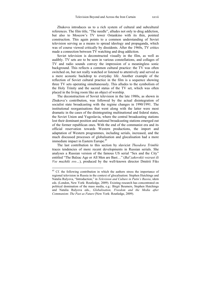Zhukova introduces us to a rich system of cultural and subcultural references. The film title, "The needle", alludes not only to drug addiction, but also to Moscow's TV tower Ostankino with its thin, pointed construction. This again points to a common understanding of Soviet television serving as a means to spread ideology and propaganda, which was of course viewed critically by dissidents. After the 1960s, TV critics made a connection between TV watching and drug addiction.

Soviet television is deconstructed visually in the film, as well as audibly. TV sets are to be seen in various constellations, and collages of TV and radio sounds convey the impression of a meaningless sonic background. This reflects a common cultural practice: the TV was often switched on, but not really watched or listened to attentively and served as a mere acoustic backdrop to everyday life. Another example of the reflection of Soviet cultural practice in the film is a sequence showing three TV sets operating simultaneously. This alludes to the symbolism of the Holy Trinity and the sacred status of the TV set, which was often placed in the living room like an object of worship.

The deconstruction of Soviet television in the late 1980s, as shown in Zhukova's contribution, was followed by the actual disintegration of socialist state broadcasting with the regime changes in 1990/1991. The institutional reorganisations that went along with the latter were most dramatic in the cases of the disintegrating multinational and federal states, the Soviet Union and Yugoslavia, where the central broadcasting stations lost their dominant position and national broadcasting stations emerged out of the former republican ones. With the end of the communist era and its official reservation towards Western productions, the import and adaptation of Western programmes, including serials, increased, and the much discussed processes of globalisation and glocalisation had a more immediate impact in Eastern Europe.<sup>45</sup>

The last contribution to this section by slavicist *Theodora Trimble* traces tendencies of more recent developments in Russian serials. She analyses a Russian version of the famous US serial "Sex and the City" entitled "The Balzac Age or All Men are Bast…" (*Bal'zakovskii vozrast ili Vse muzhiki svo…*), produced by the well-known director Dmitrii Fiks

 $\overline{\phantom{a}}$ 

<sup>&</sup>lt;sup>45</sup> Cf. the following contribution in which the authors stress the importance of regional television in Russia in the context of glocalisation: Stephen Hutchings and Natalia Rulyova, "Introduction," in *Television and Culture in Putin's Russia*, idem eds. (London, New York: Routledge, 2009). Existing research has concentrated on political domination of the mass media, e.g.: Birgit Beumers, Stephen Hutchings and Natalia Rulyova eds., *Globalisation, Freedom and the Media after Communism*: *The Past as Future* (New York: Routledge, 2009).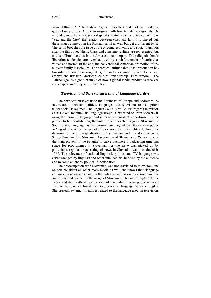from 2004-2007. "The Balzac Age's" characters and plot are modelled quite closely on the American original with four female protagonists. On second glance, however, several specific features can be detected. While in "Sex and the City" the relation between class and family is played out, these issues come up in the Russian serial as well but get a different twist: The serial broaches the issue of the ongoing economic and social transition after the fall of socialism. Class and consumer culture are represented, but not as affirmatively as in the American counterpart. The (alleged) female liberation tendencies are overshadowed by a reinforcement of patriarchal values and norms. In the end, the conventional American promotion of the nuclear family is ridiculed. The sceptical attitude that Fiks' production has towards the American original is, it can be assumed, typical for a very ambivalent Russian-American cultural relationship. Furthermore, "The Balzac Age" is a good example of how a global media product is received and adapted in a very specific context.

#### *Television and the Transgressing of Language Borders*

The next section takes us to the Southeast of Europe and addresses the interrelation between politics, language, and television (consumption) under socialist regimes. The linguist *Lucia Gaja Scuteri* regards television as a spoken medium: its language usage is expected to train viewers in using the 'correct' language and is therefore constantly scrutinised by the public. In her contribution, the author examines the usage of Slovenian, a South Slavic language, as the national language of the Slovenian republic in Yugoslavia. After the spread of television, Slovenian elites deplored the deterioration and marginalisation of Slovenian and the dominance of Serbo-Croatian. The Slovenian Association of Slavistics (SDS) was one of the main players in the struggle to carve out more broadcasting time and space for programmes in Slovenian. As the issue was picked up by politicians, regular broadcasting of news in Slovenian was introduced in 1968. The relevance of national-linguistic politics and TV language was acknowledged by linguists and other intellectuals, but also by the audience and to some extent by political functionaries.

The preoccupation with Slovenian was not restricted to television, and Scuteri considers all other mass media as well and shows that 'language columns' in newspapers and on the radio, as well as on television aimed at improving and correcting the usage of Slovenian. The author highlights the 1960s and the 1980s as two periods of intensified inter-republic tensions and conflicts, which found their expression in language policy struggles. She presents external initiatives related to the language used on television,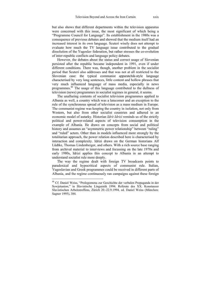but also shows that different departments within the television apparatus were concerned with this issue, the most significant of which being a "Programme Council for Language". Its establishment in the 1980s was a consequence of previous debates and showed that the medium itself had an increased interest in its own language. Scuteri wisely does not attempt to evaluate how much the TV language issue contributed to the gradual dissolution of the Yugoslav federation, but rather stresses the co-evolution of inter-republic conflicts and language policy debates.

However, the debates about the status and correct usage of Slovenian persisted after the republic became independent in 1991, even if under different conditions. There was, though, another problem in the socialist period that Scuteri also addresses and that was not at all restricted to the Slovenian case: the typical communist apparatchik-style language characterised by very long sentences, little content and hollow phrases that very much influenced language of mass media, especially in news programmes.46 The usage of this language contributed to the dullness of television (news) programmes in socialist regimes in general, it seems.

The unalluring contents of socialist television programmes applied to Albania as well, a country which was a latecomer and an exception to the rule of the synchronous spread of television as a mass medium in Europe. The communist regime was keeping the country in isolation, not only from Western, but also from other socialist countries and adhered to an economic model of autarky. Historian *Idrit Idrizi* reminds us of the strictly political and power-related aspects of television consumption in the example of Albania. He draws on concepts from social and political history and assumes an "asymmetric power relationship" between "ruling" and "ruled" actors. Other than in models influenced more strongly by the totalitarian approach, the power relation described here is characterised by interaction and complexity. Idrizi draws on the German historians Alf Lüdtke, Thomas Lindenberger, and others. With a rich source base ranging from archival material to interviews and focussing on the late 1970s and early 1980s, Idrizi applies this concept to Albania in an attempt to understand socialist rule more deeply.

The way the regime dealt with foreign TV broadcasts points to paradoxical and hypocritical aspects of communist rule. Italian, Yugoslavian and Greek programmes could be received in different parts of Albania, and the regime continuously ran campaigns against these foreign

 $\overline{\phantom{a}}$ 

<sup>&</sup>lt;sup>46</sup> Cf. Daniel Weiss, "Prolegomena zur Geschichte der verbalen Propaganda in der Sowjetunion," in Slavistische Linguistik 1994. Referate des XX. Konstanzer Slavistischen Arbeitstreffens, Zürich 20.-22.9.1994, ed. Daniel Weiss (München: Sagner 1995), 384.